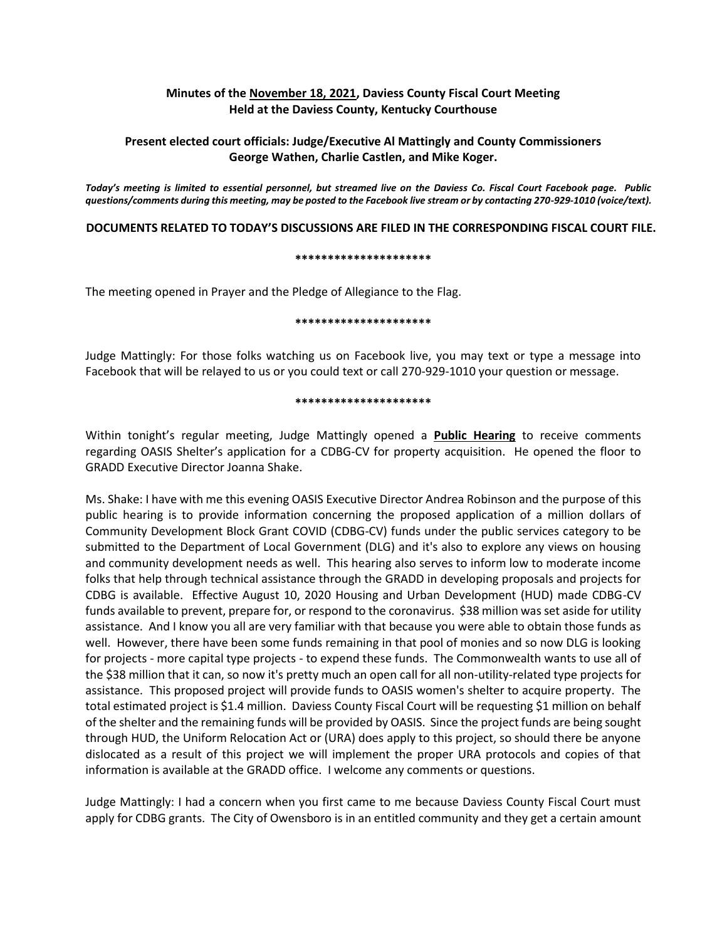# **Minutes of the November 18, 2021, Daviess County Fiscal Court Meeting Held at the Daviess County, Kentucky Courthouse**

# **Present elected court officials: Judge/Executive Al Mattingly and County Commissioners George Wathen, Charlie Castlen, and Mike Koger.**

*Today's meeting is limited to essential personnel, but streamed live on the Daviess Co. Fiscal Court Facebook page. Public questions/comments during this meeting, may be posted to the Facebook live stream or by contacting 270-929-1010 (voice/text).*

## **DOCUMENTS RELATED TO TODAY'S DISCUSSIONS ARE FILED IN THE CORRESPONDING FISCAL COURT FILE.**

#### **\*\*\*\*\*\*\*\*\*\*\*\*\*\*\*\*\*\*\*\*\***

The meeting opened in Prayer and the Pledge of Allegiance to the Flag.

#### **\*\*\*\*\*\*\*\*\*\*\*\*\*\*\*\*\*\*\*\*\***

Judge Mattingly: For those folks watching us on Facebook live, you may text or type a message into Facebook that will be relayed to us or you could text or call 270-929-1010 your question or message.

#### **\*\*\*\*\*\*\*\*\*\*\*\*\*\*\*\*\*\*\*\*\***

Within tonight's regular meeting, Judge Mattingly opened a **Public Hearing** to receive comments regarding OASIS Shelter's application for a CDBG-CV for property acquisition. He opened the floor to GRADD Executive Director Joanna Shake.

Ms. Shake: I have with me this evening OASIS Executive Director Andrea Robinson and the purpose of this public hearing is to provide information concerning the proposed application of a million dollars of Community Development Block Grant COVID (CDBG-CV) funds under the public services category to be submitted to the Department of Local Government (DLG) and it's also to explore any views on housing and community development needs as well. This hearing also serves to inform low to moderate income folks that help through technical assistance through the GRADD in developing proposals and projects for CDBG is available. Effective August 10, 2020 Housing and Urban Development (HUD) made CDBG-CV funds available to prevent, prepare for, or respond to the coronavirus. \$38 million was set aside for utility assistance. And I know you all are very familiar with that because you were able to obtain those funds as well. However, there have been some funds remaining in that pool of monies and so now DLG is looking for projects - more capital type projects - to expend these funds. The Commonwealth wants to use all of the \$38 million that it can, so now it's pretty much an open call for all non-utility-related type projects for assistance. This proposed project will provide funds to OASIS women's shelter to acquire property. The total estimated project is \$1.4 million. Daviess County Fiscal Court will be requesting \$1 million on behalf of the shelter and the remaining funds will be provided by OASIS. Since the project funds are being sought through HUD, the Uniform Relocation Act or (URA) does apply to this project, so should there be anyone dislocated as a result of this project we will implement the proper URA protocols and copies of that information is available at the GRADD office. I welcome any comments or questions.

Judge Mattingly: I had a concern when you first came to me because Daviess County Fiscal Court must apply for CDBG grants. The City of Owensboro is in an entitled community and they get a certain amount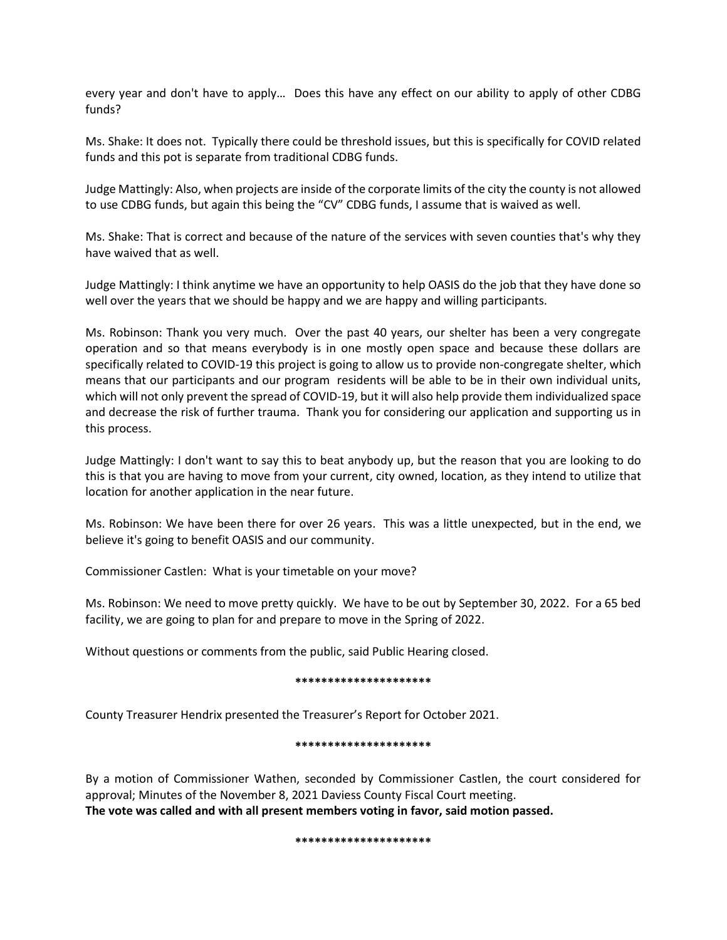every year and don't have to apply… Does this have any effect on our ability to apply of other CDBG funds?

Ms. Shake: It does not. Typically there could be threshold issues, but this is specifically for COVID related funds and this pot is separate from traditional CDBG funds.

Judge Mattingly: Also, when projects are inside of the corporate limits of the city the county is not allowed to use CDBG funds, but again this being the "CV" CDBG funds, I assume that is waived as well.

Ms. Shake: That is correct and because of the nature of the services with seven counties that's why they have waived that as well.

Judge Mattingly: I think anytime we have an opportunity to help OASIS do the job that they have done so well over the years that we should be happy and we are happy and willing participants.

Ms. Robinson: Thank you very much. Over the past 40 years, our shelter has been a very congregate operation and so that means everybody is in one mostly open space and because these dollars are specifically related to COVID-19 this project is going to allow us to provide non-congregate shelter, which means that our participants and our program residents will be able to be in their own individual units, which will not only prevent the spread of COVID-19, but it will also help provide them individualized space and decrease the risk of further trauma. Thank you for considering our application and supporting us in this process.

Judge Mattingly: I don't want to say this to beat anybody up, but the reason that you are looking to do this is that you are having to move from your current, city owned, location, as they intend to utilize that location for another application in the near future.

Ms. Robinson: We have been there for over 26 years. This was a little unexpected, but in the end, we believe it's going to benefit OASIS and our community.

Commissioner Castlen: What is your timetable on your move?

Ms. Robinson: We need to move pretty quickly. We have to be out by September 30, 2022. For a 65 bed facility, we are going to plan for and prepare to move in the Spring of 2022.

Without questions or comments from the public, said Public Hearing closed.

## **\*\*\*\*\*\*\*\*\*\*\*\*\*\*\*\*\*\*\*\*\***

County Treasurer Hendrix presented the Treasurer's Report for October 2021.

#### **\*\*\*\*\*\*\*\*\*\*\*\*\*\*\*\*\*\*\*\*\***

By a motion of Commissioner Wathen, seconded by Commissioner Castlen, the court considered for approval; Minutes of the November 8, 2021 Daviess County Fiscal Court meeting. **The vote was called and with all present members voting in favor, said motion passed.** 

#### **\*\*\*\*\*\*\*\*\*\*\*\*\*\*\*\*\*\*\*\*\***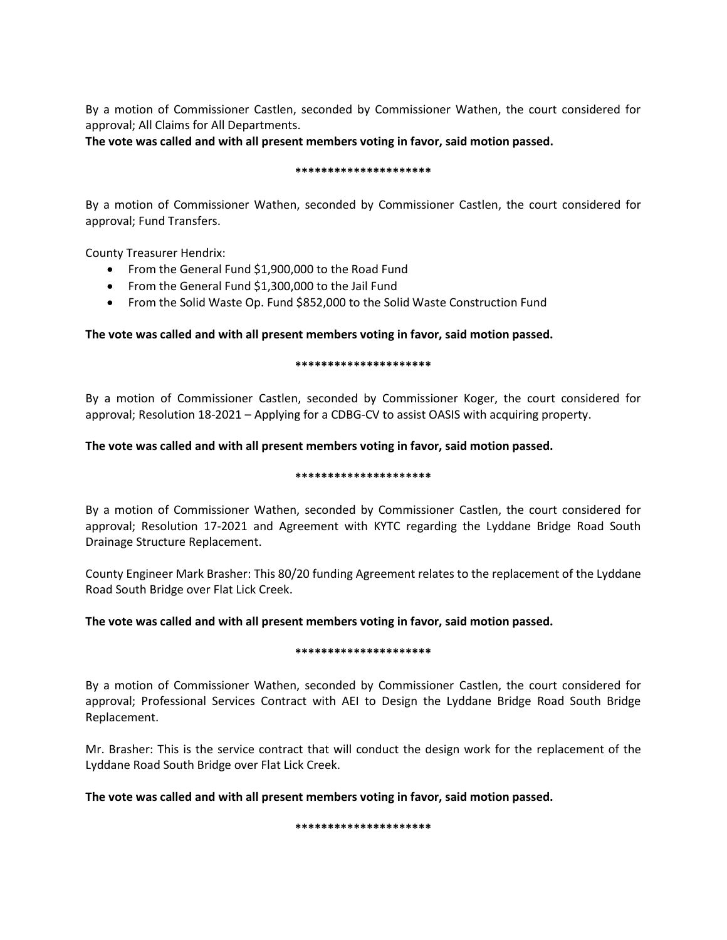By a motion of Commissioner Castlen, seconded by Commissioner Wathen, the court considered for approval; All Claims for All Departments.

**The vote was called and with all present members voting in favor, said motion passed.** 

### **\*\*\*\*\*\*\*\*\*\*\*\*\*\*\*\*\*\*\*\*\***

By a motion of Commissioner Wathen, seconded by Commissioner Castlen, the court considered for approval; Fund Transfers.

County Treasurer Hendrix:

- From the General Fund \$1,900,000 to the Road Fund
- From the General Fund \$1,300,000 to the Jail Fund
- From the Solid Waste Op. Fund \$852,000 to the Solid Waste Construction Fund

# **The vote was called and with all present members voting in favor, said motion passed.**

### **\*\*\*\*\*\*\*\*\*\*\*\*\*\*\*\*\*\*\*\*\***

By a motion of Commissioner Castlen, seconded by Commissioner Koger, the court considered for approval; Resolution 18-2021 – Applying for a CDBG-CV to assist OASIS with acquiring property.

# **The vote was called and with all present members voting in favor, said motion passed.**

## **\*\*\*\*\*\*\*\*\*\*\*\*\*\*\*\*\*\*\*\*\***

By a motion of Commissioner Wathen, seconded by Commissioner Castlen, the court considered for approval; Resolution 17-2021 and Agreement with KYTC regarding the Lyddane Bridge Road South Drainage Structure Replacement.

County Engineer Mark Brasher: This 80/20 funding Agreement relates to the replacement of the Lyddane Road South Bridge over Flat Lick Creek.

# **The vote was called and with all present members voting in favor, said motion passed.**

## **\*\*\*\*\*\*\*\*\*\*\*\*\*\*\*\*\*\*\*\*\***

By a motion of Commissioner Wathen, seconded by Commissioner Castlen, the court considered for approval; Professional Services Contract with AEI to Design the Lyddane Bridge Road South Bridge Replacement.

Mr. Brasher: This is the service contract that will conduct the design work for the replacement of the Lyddane Road South Bridge over Flat Lick Creek.

**The vote was called and with all present members voting in favor, said motion passed.**

**\*\*\*\*\*\*\*\*\*\*\*\*\*\*\*\*\*\*\*\*\***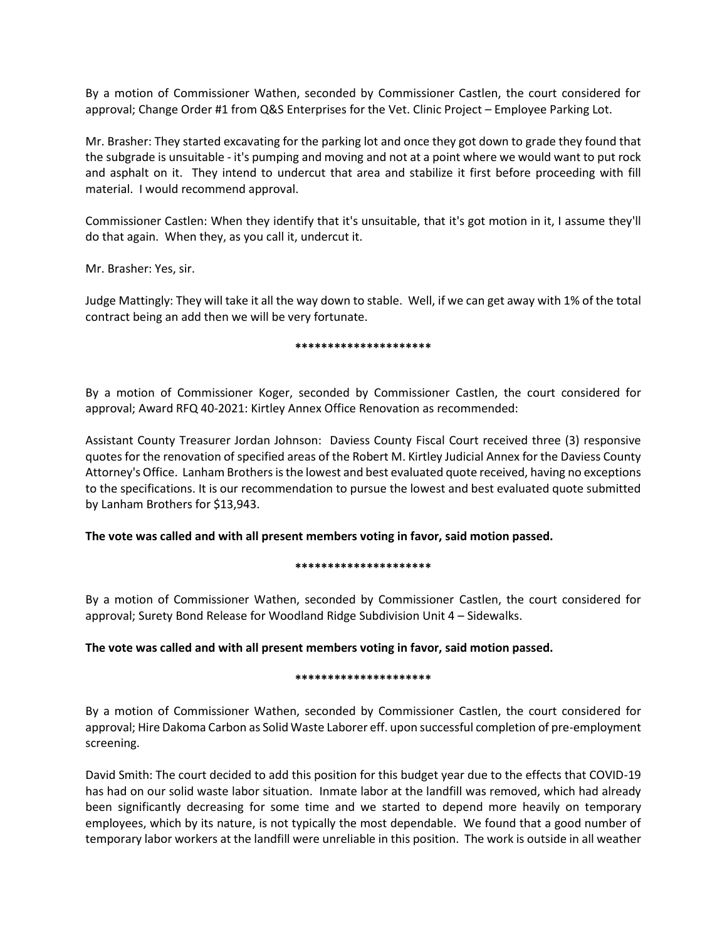By a motion of Commissioner Wathen, seconded by Commissioner Castlen, the court considered for approval; Change Order #1 from Q&S Enterprises for the Vet. Clinic Project – Employee Parking Lot.

Mr. Brasher: They started excavating for the parking lot and once they got down to grade they found that the subgrade is unsuitable - it's pumping and moving and not at a point where we would want to put rock and asphalt on it. They intend to undercut that area and stabilize it first before proceeding with fill material. I would recommend approval.

Commissioner Castlen: When they identify that it's unsuitable, that it's got motion in it, I assume they'll do that again. When they, as you call it, undercut it.

Mr. Brasher: Yes, sir.

Judge Mattingly: They will take it all the way down to stable. Well, if we can get away with 1% of the total contract being an add then we will be very fortunate.

### **\*\*\*\*\*\*\*\*\*\*\*\*\*\*\*\*\*\*\*\*\***

By a motion of Commissioner Koger, seconded by Commissioner Castlen, the court considered for approval; Award RFQ 40-2021: Kirtley Annex Office Renovation as recommended:

Assistant County Treasurer Jordan Johnson: Daviess County Fiscal Court received three (3) responsive quotes for the renovation of specified areas of the Robert M. Kirtley Judicial Annex for the Daviess County Attorney's Office. Lanham Brothers is the lowest and best evaluated quote received, having no exceptions to the specifications. It is our recommendation to pursue the lowest and best evaluated quote submitted by Lanham Brothers for \$13,943.

**The vote was called and with all present members voting in favor, said motion passed.**

## **\*\*\*\*\*\*\*\*\*\*\*\*\*\*\*\*\*\*\*\*\***

By a motion of Commissioner Wathen, seconded by Commissioner Castlen, the court considered for approval; Surety Bond Release for Woodland Ridge Subdivision Unit 4 – Sidewalks.

**The vote was called and with all present members voting in favor, said motion passed.**

## **\*\*\*\*\*\*\*\*\*\*\*\*\*\*\*\*\*\*\*\*\***

By a motion of Commissioner Wathen, seconded by Commissioner Castlen, the court considered for approval; Hire Dakoma Carbon as Solid Waste Laborer eff. upon successful completion of pre-employment screening.

David Smith: The court decided to add this position for this budget year due to the effects that COVID-19 has had on our solid waste labor situation. Inmate labor at the landfill was removed, which had already been significantly decreasing for some time and we started to depend more heavily on temporary employees, which by its nature, is not typically the most dependable. We found that a good number of temporary labor workers at the landfill were unreliable in this position. The work is outside in all weather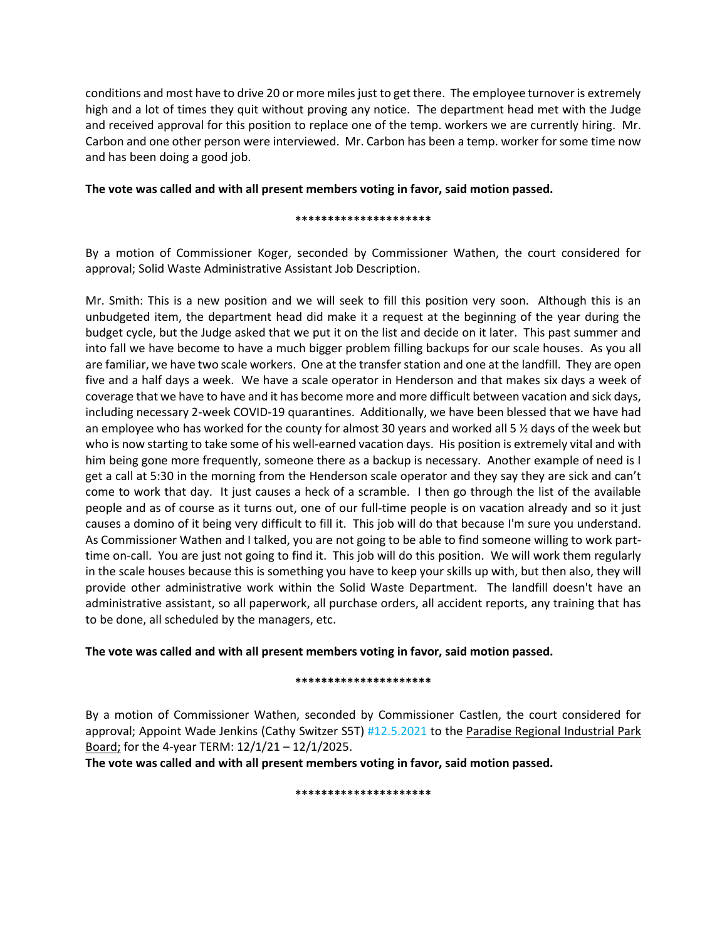conditions and most have to drive 20 or more miles just to get there. The employee turnover is extremely high and a lot of times they quit without proving any notice. The department head met with the Judge and received approval for this position to replace one of the temp. workers we are currently hiring. Mr. Carbon and one other person were interviewed. Mr. Carbon has been a temp. worker for some time now and has been doing a good job.

# **The vote was called and with all present members voting in favor, said motion passed.**

**\*\*\*\*\*\*\*\*\*\*\*\*\*\*\*\*\*\*\*\*\***

By a motion of Commissioner Koger, seconded by Commissioner Wathen, the court considered for approval; Solid Waste Administrative Assistant Job Description.

Mr. Smith: This is a new position and we will seek to fill this position very soon. Although this is an unbudgeted item, the department head did make it a request at the beginning of the year during the budget cycle, but the Judge asked that we put it on the list and decide on it later. This past summer and into fall we have become to have a much bigger problem filling backups for our scale houses. As you all are familiar, we have two scale workers. One at the transfer station and one at the landfill. They are open five and a half days a week. We have a scale operator in Henderson and that makes six days a week of coverage that we have to have and it has become more and more difficult between vacation and sick days, including necessary 2-week COVID-19 quarantines. Additionally, we have been blessed that we have had an employee who has worked for the county for almost 30 years and worked all 5 ½ days of the week but who is now starting to take some of his well-earned vacation days. His position is extremely vital and with him being gone more frequently, someone there as a backup is necessary. Another example of need is I get a call at 5:30 in the morning from the Henderson scale operator and they say they are sick and can't come to work that day. It just causes a heck of a scramble. I then go through the list of the available people and as of course as it turns out, one of our full-time people is on vacation already and so it just causes a domino of it being very difficult to fill it. This job will do that because I'm sure you understand. As Commissioner Wathen and I talked, you are not going to be able to find someone willing to work parttime on-call. You are just not going to find it. This job will do this position. We will work them regularly in the scale houses because this is something you have to keep your skills up with, but then also, they will provide other administrative work within the Solid Waste Department. The landfill doesn't have an administrative assistant, so all paperwork, all purchase orders, all accident reports, any training that has to be done, all scheduled by the managers, etc.

**The vote was called and with all present members voting in favor, said motion passed.**

# **\*\*\*\*\*\*\*\*\*\*\*\*\*\*\*\*\*\*\*\*\***

By a motion of Commissioner Wathen, seconded by Commissioner Castlen, the court considered for approval; Appoint Wade Jenkins (Cathy Switzer S5T) #12.5.2021 to the Paradise Regional Industrial Park Board; for the 4-year TERM: 12/1/21 – 12/1/2025.

**The vote was called and with all present members voting in favor, said motion passed.**

**\*\*\*\*\*\*\*\*\*\*\*\*\*\*\*\*\*\*\*\*\***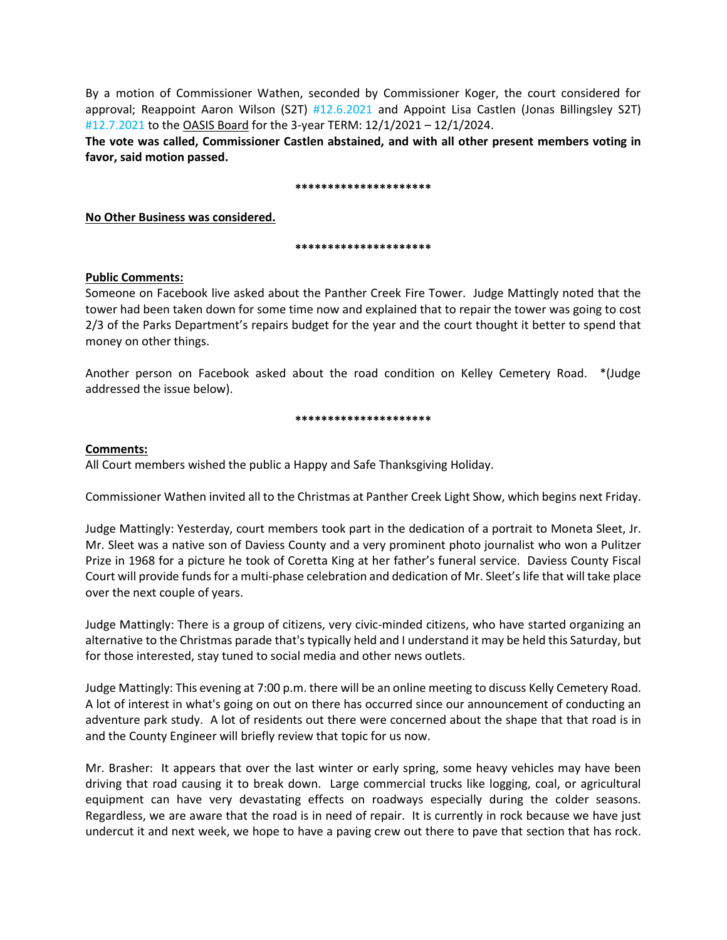By a motion of Commissioner Wathen, seconded by Commissioner Koger, the court considered for approval; Reappoint Aaron Wilson (S2T) #12.6.2021 and Appoint Lisa Castlen (Jonas Billingsley S2T) #12.7.2021 to the OASIS Board for the 3-year TERM: 12/1/2021 – 12/1/2024.

**The vote was called, Commissioner Castlen abstained, and with all other present members voting in favor, said motion passed.**

#### **\*\*\*\*\*\*\*\*\*\*\*\*\*\*\*\*\*\*\*\*\***

**No Other Business was considered.** 

### **\*\*\*\*\*\*\*\*\*\*\*\*\*\*\*\*\*\*\*\*\***

# **Public Comments:**

Someone on Facebook live asked about the Panther Creek Fire Tower. Judge Mattingly noted that the tower had been taken down for some time now and explained that to repair the tower was going to cost 2/3 of the Parks Department's repairs budget for the year and the court thought it better to spend that money on other things.

Another person on Facebook asked about the road condition on Kelley Cemetery Road. \*(Judge addressed the issue below).

### **\*\*\*\*\*\*\*\*\*\*\*\*\*\*\*\*\*\*\*\*\***

# **Comments:**

All Court members wished the public a Happy and Safe Thanksgiving Holiday.

Commissioner Wathen invited all to the Christmas at Panther Creek Light Show, which begins next Friday.

Judge Mattingly: Yesterday, court members took part in the dedication of a portrait to Moneta Sleet, Jr. Mr. Sleet was a native son of Daviess County and a very prominent photo journalist who won a Pulitzer Prize in 1968 for a picture he took of Coretta King at her father's funeral service. Daviess County Fiscal Court will provide funds for a multi-phase celebration and dedication of Mr. Sleet's life that will take place over the next couple of years.

Judge Mattingly: There is a group of citizens, very civic-minded citizens, who have started organizing an alternative to the Christmas parade that's typically held and I understand it may be held this Saturday, but for those interested, stay tuned to social media and other news outlets.

Judge Mattingly: This evening at 7:00 p.m. there will be an online meeting to discuss Kelly Cemetery Road. A lot of interest in what's going on out on there has occurred since our announcement of conducting an adventure park study. A lot of residents out there were concerned about the shape that that road is in and the County Engineer will briefly review that topic for us now.

Mr. Brasher: It appears that over the last winter or early spring, some heavy vehicles may have been driving that road causing it to break down. Large commercial trucks like logging, coal, or agricultural equipment can have very devastating effects on roadways especially during the colder seasons. Regardless, we are aware that the road is in need of repair. It is currently in rock because we have just undercut it and next week, we hope to have a paving crew out there to pave that section that has rock.